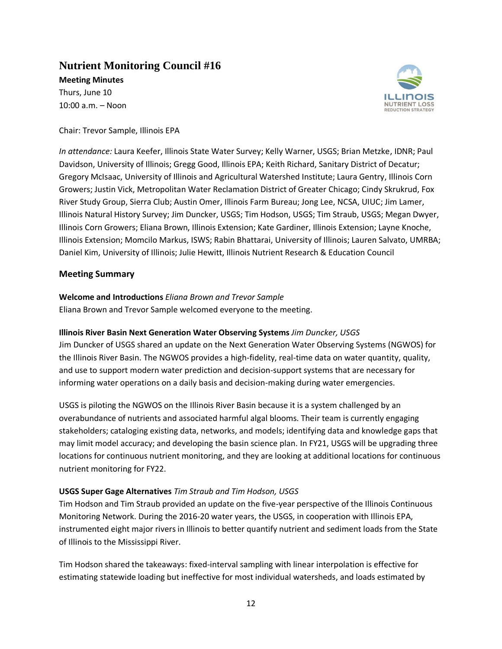# **Nutrient Monitoring Council #16**

**Meeting Minutes** Thurs, June 10 10:00 a.m. – Noon



Chair: Trevor Sample, Illinois EPA

*In attendance:* Laura Keefer, Illinois State Water Survey; Kelly Warner, USGS; Brian Metzke, IDNR; Paul Davidson, University of Illinois; Gregg Good, Illinois EPA; Keith Richard, Sanitary District of Decatur; Gregory McIsaac, University of Illinois and Agricultural Watershed Institute; Laura Gentry, Illinois Corn Growers; Justin Vick, Metropolitan Water Reclamation District of Greater Chicago; Cindy Skrukrud, Fox River Study Group, Sierra Club; Austin Omer, Illinois Farm Bureau; Jong Lee, NCSA, UIUC; Jim Lamer, Illinois Natural History Survey; Jim Duncker, USGS; Tim Hodson, USGS; Tim Straub, USGS; Megan Dwyer, Illinois Corn Growers; Eliana Brown, Illinois Extension; Kate Gardiner, Illinois Extension; Layne Knoche, Illinois Extension; Momcilo Markus, ISWS; Rabin Bhattarai, University of Illinois; Lauren Salvato, UMRBA; Daniel Kim, University of Illinois; Julie Hewitt, Illinois Nutrient Research & Education Council

# **Meeting Summary**

# **Welcome and Introductions** *Eliana Brown and Trevor Sample*

Eliana Brown and Trevor Sample welcomed everyone to the meeting.

# **Illinois River Basin Next Generation Water Observing Systems** *Jim Duncker, USGS*

Jim Duncker of USGS shared an update on the Next Generation Water Observing Systems (NGWOS) for the Illinois River Basin. The NGWOS provides a high-fidelity, real-time data on water quantity, quality, and use to support modern water prediction and decision-support systems that are necessary for informing water operations on a daily basis and decision-making during water emergencies.

USGS is piloting the NGWOS on the Illinois River Basin because it is a system challenged by an overabundance of nutrients and associated harmful algal blooms. Their team is currently engaging stakeholders; cataloging existing data, networks, and models; identifying data and knowledge gaps that may limit model accuracy; and developing the basin science plan. In FY21, USGS will be upgrading three locations for continuous nutrient monitoring, and they are looking at additional locations for continuous nutrient monitoring for FY22.

# **USGS Super Gage Alternatives** *Tim Straub and Tim Hodson, USGS*

Tim Hodson and Tim Straub provided an update on the five-year perspective of the Illinois Continuous Monitoring Network. During the 2016-20 water years, the USGS, in cooperation with Illinois EPA, instrumented eight major rivers in Illinois to better quantify nutrient and sediment loads from the State of Illinois to the Mississippi River.

Tim Hodson shared the takeaways: fixed-interval sampling with linear interpolation is effective for estimating statewide loading but ineffective for most individual watersheds, and loads estimated by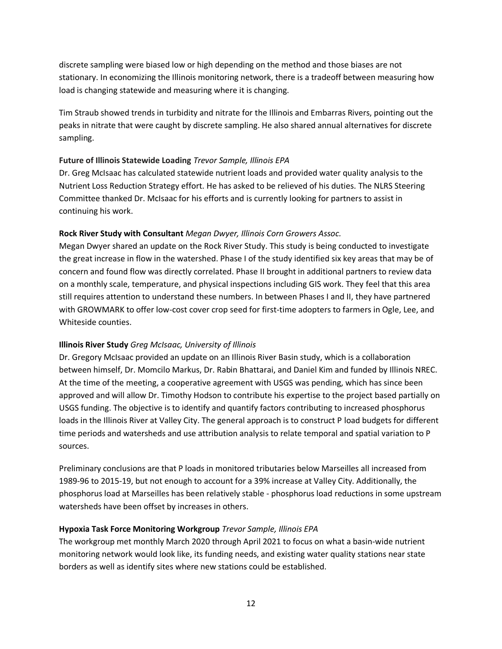discrete sampling were biased low or high depending on the method and those biases are not stationary. In economizing the Illinois monitoring network, there is a tradeoff between measuring how load is changing statewide and measuring where it is changing.

Tim Straub showed trends in turbidity and nitrate for the Illinois and Embarras Rivers, pointing out the peaks in nitrate that were caught by discrete sampling. He also shared annual alternatives for discrete sampling.

## **Future of Illinois Statewide Loading** *Trevor Sample, Illinois EPA*

Dr. Greg McIsaac has calculated statewide nutrient loads and provided water quality analysis to the Nutrient Loss Reduction Strategy effort. He has asked to be relieved of his duties. The NLRS Steering Committee thanked Dr. McIsaac for his efforts and is currently looking for partners to assist in continuing his work.

## **Rock River Study with Consultant** *Megan Dwyer, Illinois Corn Growers Assoc.*

Megan Dwyer shared an update on the Rock River Study. This study is being conducted to investigate the great increase in flow in the watershed. Phase I of the study identified six key areas that may be of concern and found flow was directly correlated. Phase II brought in additional partners to review data on a monthly scale, temperature, and physical inspections including GIS work. They feel that this area still requires attention to understand these numbers. In between Phases I and II, they have partnered with GROWMARK to offer low-cost cover crop seed for first-time adopters to farmers in Ogle, Lee, and Whiteside counties.

## **Illinois River Study** *Greg McIsaac, University of Illinois*

Dr. Gregory McIsaac provided an update on an Illinois River Basin study, which is a collaboration between himself, Dr. Momcilo Markus, Dr. Rabin Bhattarai, and Daniel Kim and funded by Illinois NREC. At the time of the meeting, a cooperative agreement with USGS was pending, which has since been approved and will allow Dr. Timothy Hodson to contribute his expertise to the project based partially on USGS funding. The objective is to identify and quantify factors contributing to increased phosphorus loads in the Illinois River at Valley City. The general approach is to construct P load budgets for different time periods and watersheds and use attribution analysis to relate temporal and spatial variation to P sources.

Preliminary conclusions are that P loads in monitored tributaries below Marseilles all increased from 1989-96 to 2015-19, but not enough to account for a 39% increase at Valley City. Additionally, the phosphorus load at Marseilles has been relatively stable - phosphorus load reductions in some upstream watersheds have been offset by increases in others.

# **Hypoxia Task Force Monitoring Workgroup** *Trevor Sample, Illinois EPA*

The workgroup met monthly March 2020 through April 2021 to focus on what a basin-wide nutrient monitoring network would look like, its funding needs, and existing water quality stations near state borders as well as identify sites where new stations could be established.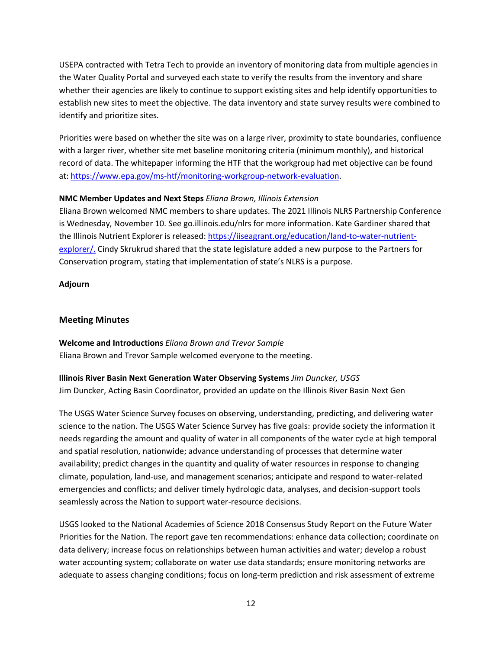USEPA contracted with Tetra Tech to provide an inventory of monitoring data from multiple agencies in the Water Quality Portal and surveyed each state to verify the results from the inventory and share whether their agencies are likely to continue to support existing sites and help identify opportunities to establish new sites to meet the objective. The data inventory and state survey results were combined to identify and prioritize sites.

Priorities were based on whether the site was on a large river, proximity to state boundaries, confluence with a larger river, whether site met baseline monitoring criteria (minimum monthly), and historical record of data. The whitepaper informing the HTF that the workgroup had met objective can be found at: [https://www.epa.gov/ms-htf/monitoring-workgroup-network-evaluation.](about:blank)

## **NMC Member Updates and Next Steps** *Eliana Brown, Illinois Extension*

Eliana Brown welcomed NMC members to share updates. The 2021 Illinois NLRS Partnership Conference is Wednesday, November 10. See go.illinois.edu/nlrs for more information. Kate Gardiner shared that the Illinois Nutrient Explorer is released: [https://iiseagrant.org/education/land-to-water-nutrient](about:blank)[explorer/.](about:blank) Cindy Skrukrud shared that the state legislature added a new purpose to the Partners for Conservation program, stating that implementation of state's NLRS is a purpose.

#### **Adjourn**

#### **Meeting Minutes**

**Welcome and Introductions** *Eliana Brown and Trevor Sample* Eliana Brown and Trevor Sample welcomed everyone to the meeting.

# **Illinois River Basin Next Generation Water Observing Systems** *Jim Duncker, USGS* Jim Duncker, Acting Basin Coordinator, provided an update on the Illinois River Basin Next Gen

The USGS Water Science Survey focuses on observing, understanding, predicting, and delivering water science to the nation. The USGS Water Science Survey has five goals: provide society the information it needs regarding the amount and quality of water in all components of the water cycle at high temporal and spatial resolution, nationwide; advance understanding of processes that determine water availability; predict changes in the quantity and quality of water resources in response to changing climate, population, land-use, and management scenarios; anticipate and respond to water-related emergencies and conflicts; and deliver timely hydrologic data, analyses, and decision-support tools seamlessly across the Nation to support water-resource decisions.

USGS looked to the National Academies of Science 2018 Consensus Study Report on the Future Water Priorities for the Nation. The report gave ten recommendations: enhance data collection; coordinate on data delivery; increase focus on relationships between human activities and water; develop a robust water accounting system; collaborate on water use data standards; ensure monitoring networks are adequate to assess changing conditions; focus on long-term prediction and risk assessment of extreme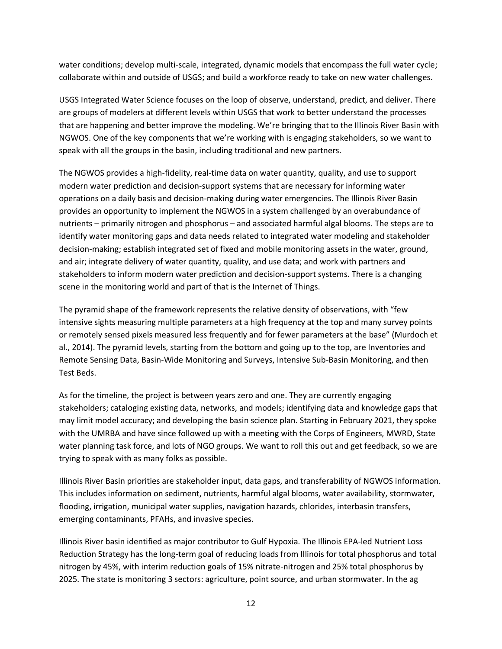water conditions; develop multi-scale, integrated, dynamic models that encompass the full water cycle; collaborate within and outside of USGS; and build a workforce ready to take on new water challenges.

USGS Integrated Water Science focuses on the loop of observe, understand, predict, and deliver. There are groups of modelers at different levels within USGS that work to better understand the processes that are happening and better improve the modeling. We're bringing that to the Illinois River Basin with NGWOS. One of the key components that we're working with is engaging stakeholders, so we want to speak with all the groups in the basin, including traditional and new partners.

The NGWOS provides a high-fidelity, real-time data on water quantity, quality, and use to support modern water prediction and decision-support systems that are necessary for informing water operations on a daily basis and decision-making during water emergencies. The Illinois River Basin provides an opportunity to implement the NGWOS in a system challenged by an overabundance of nutrients – primarily nitrogen and phosphorus – and associated harmful algal blooms. The steps are to identify water monitoring gaps and data needs related to integrated water modeling and stakeholder decision-making; establish integrated set of fixed and mobile monitoring assets in the water, ground, and air; integrate delivery of water quantity, quality, and use data; and work with partners and stakeholders to inform modern water prediction and decision-support systems. There is a changing scene in the monitoring world and part of that is the Internet of Things.

The pyramid shape of the framework represents the relative density of observations, with "few intensive sights measuring multiple parameters at a high frequency at the top and many survey points or remotely sensed pixels measured less frequently and for fewer parameters at the base" (Murdoch et al., 2014). The pyramid levels, starting from the bottom and going up to the top, are Inventories and Remote Sensing Data, Basin-Wide Monitoring and Surveys, Intensive Sub-Basin Monitoring, and then Test Beds.

As for the timeline, the project is between years zero and one. They are currently engaging stakeholders; cataloging existing data, networks, and models; identifying data and knowledge gaps that may limit model accuracy; and developing the basin science plan. Starting in February 2021, they spoke with the UMRBA and have since followed up with a meeting with the Corps of Engineers, MWRD, State water planning task force, and lots of NGO groups. We want to roll this out and get feedback, so we are trying to speak with as many folks as possible.

Illinois River Basin priorities are stakeholder input, data gaps, and transferability of NGWOS information. This includes information on sediment, nutrients, harmful algal blooms, water availability, stormwater, flooding, irrigation, municipal water supplies, navigation hazards, chlorides, interbasin transfers, emerging contaminants, PFAHs, and invasive species.

Illinois River basin identified as major contributor to Gulf Hypoxia. The Illinois EPA-led Nutrient Loss Reduction Strategy has the long-term goal of reducing loads from Illinois for total phosphorus and total nitrogen by 45%, with interim reduction goals of 15% nitrate-nitrogen and 25% total phosphorus by 2025. The state is monitoring 3 sectors: agriculture, point source, and urban stormwater. In the ag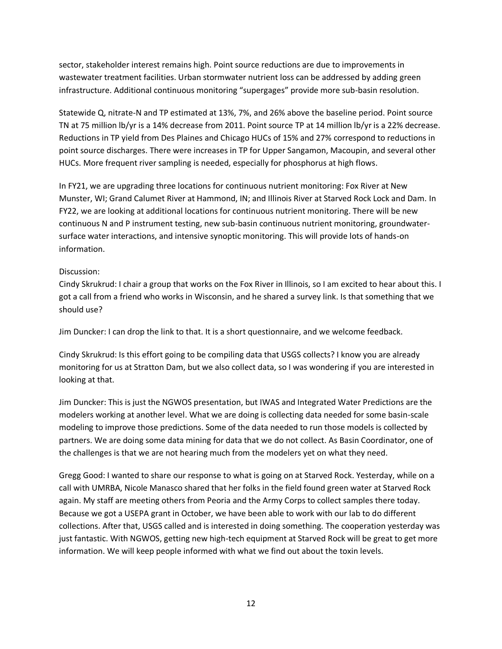sector, stakeholder interest remains high. Point source reductions are due to improvements in wastewater treatment facilities. Urban stormwater nutrient loss can be addressed by adding green infrastructure. Additional continuous monitoring "supergages" provide more sub-basin resolution.

Statewide Q, nitrate-N and TP estimated at 13%, 7%, and 26% above the baseline period. Point source TN at 75 million lb/yr is a 14% decrease from 2011. Point source TP at 14 million lb/yr is a 22% decrease. Reductions in TP yield from Des Plaines and Chicago HUCs of 15% and 27% correspond to reductions in point source discharges. There were increases in TP for Upper Sangamon, Macoupin, and several other HUCs. More frequent river sampling is needed, especially for phosphorus at high flows.

In FY21, we are upgrading three locations for continuous nutrient monitoring: Fox River at New Munster, WI; Grand Calumet River at Hammond, IN; and Illinois River at Starved Rock Lock and Dam. In FY22, we are looking at additional locations for continuous nutrient monitoring. There will be new continuous N and P instrument testing, new sub-basin continuous nutrient monitoring, groundwatersurface water interactions, and intensive synoptic monitoring. This will provide lots of hands-on information.

# Discussion:

Cindy Skrukrud: I chair a group that works on the Fox River in Illinois, so I am excited to hear about this. I got a call from a friend who works in Wisconsin, and he shared a survey link. Is that something that we should use?

Jim Duncker: I can drop the link to that. It is a short questionnaire, and we welcome feedback.

Cindy Skrukrud: Is this effort going to be compiling data that USGS collects? I know you are already monitoring for us at Stratton Dam, but we also collect data, so I was wondering if you are interested in looking at that.

Jim Duncker: This is just the NGWOS presentation, but IWAS and Integrated Water Predictions are the modelers working at another level. What we are doing is collecting data needed for some basin-scale modeling to improve those predictions. Some of the data needed to run those models is collected by partners. We are doing some data mining for data that we do not collect. As Basin Coordinator, one of the challenges is that we are not hearing much from the modelers yet on what they need.

Gregg Good: I wanted to share our response to what is going on at Starved Rock. Yesterday, while on a call with UMRBA, Nicole Manasco shared that her folks in the field found green water at Starved Rock again. My staff are meeting others from Peoria and the Army Corps to collect samples there today. Because we got a USEPA grant in October, we have been able to work with our lab to do different collections. After that, USGS called and is interested in doing something. The cooperation yesterday was just fantastic. With NGWOS, getting new high-tech equipment at Starved Rock will be great to get more information. We will keep people informed with what we find out about the toxin levels.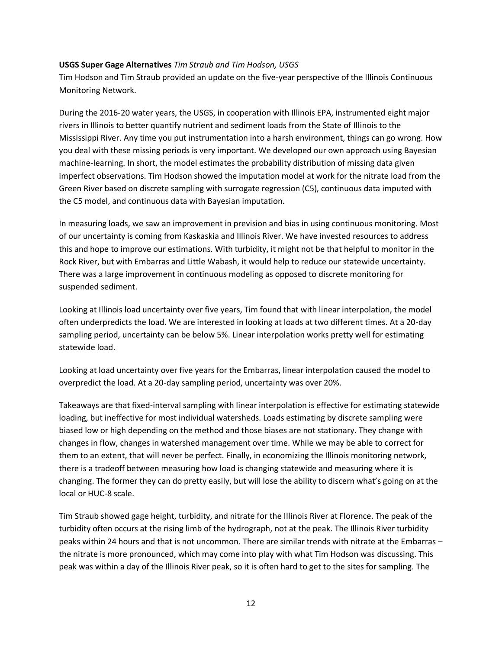#### **USGS Super Gage Alternatives** *Tim Straub and Tim Hodson, USGS*

Tim Hodson and Tim Straub provided an update on the five-year perspective of the Illinois Continuous Monitoring Network.

During the 2016-20 water years, the USGS, in cooperation with Illinois EPA, instrumented eight major rivers in Illinois to better quantify nutrient and sediment loads from the State of Illinois to the Mississippi River. Any time you put instrumentation into a harsh environment, things can go wrong. How you deal with these missing periods is very important. We developed our own approach using Bayesian machine-learning. In short, the model estimates the probability distribution of missing data given imperfect observations. Tim Hodson showed the imputation model at work for the nitrate load from the Green River based on discrete sampling with surrogate regression (C5), continuous data imputed with the C5 model, and continuous data with Bayesian imputation.

In measuring loads, we saw an improvement in prevision and bias in using continuous monitoring. Most of our uncertainty is coming from Kaskaskia and Illinois River. We have invested resources to address this and hope to improve our estimations. With turbidity, it might not be that helpful to monitor in the Rock River, but with Embarras and Little Wabash, it would help to reduce our statewide uncertainty. There was a large improvement in continuous modeling as opposed to discrete monitoring for suspended sediment.

Looking at Illinois load uncertainty over five years, Tim found that with linear interpolation, the model often underpredicts the load. We are interested in looking at loads at two different times. At a 20-day sampling period, uncertainty can be below 5%. Linear interpolation works pretty well for estimating statewide load.

Looking at load uncertainty over five years for the Embarras, linear interpolation caused the model to overpredict the load. At a 20-day sampling period, uncertainty was over 20%.

Takeaways are that fixed-interval sampling with linear interpolation is effective for estimating statewide loading, but ineffective for most individual watersheds. Loads estimating by discrete sampling were biased low or high depending on the method and those biases are not stationary. They change with changes in flow, changes in watershed management over time. While we may be able to correct for them to an extent, that will never be perfect. Finally, in economizing the Illinois monitoring network, there is a tradeoff between measuring how load is changing statewide and measuring where it is changing. The former they can do pretty easily, but will lose the ability to discern what's going on at the local or HUC-8 scale.

Tim Straub showed gage height, turbidity, and nitrate for the Illinois River at Florence. The peak of the turbidity often occurs at the rising limb of the hydrograph, not at the peak. The Illinois River turbidity peaks within 24 hours and that is not uncommon. There are similar trends with nitrate at the Embarras – the nitrate is more pronounced, which may come into play with what Tim Hodson was discussing. This peak was within a day of the Illinois River peak, so it is often hard to get to the sites for sampling. The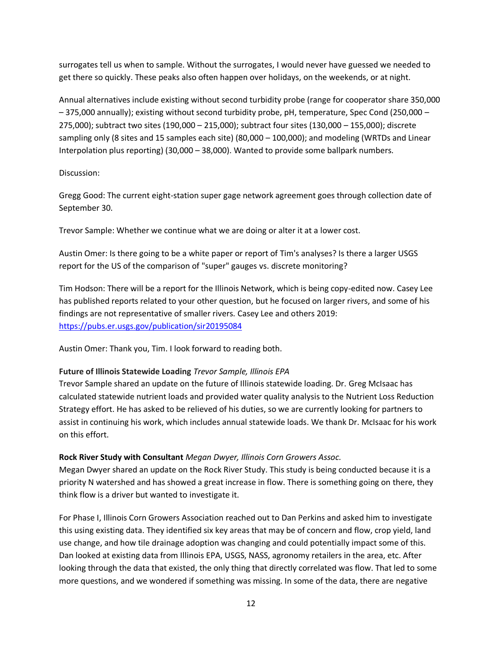surrogates tell us when to sample. Without the surrogates, I would never have guessed we needed to get there so quickly. These peaks also often happen over holidays, on the weekends, or at night.

Annual alternatives include existing without second turbidity probe (range for cooperator share 350,000 – 375,000 annually); existing without second turbidity probe, pH, temperature, Spec Cond (250,000 – 275,000); subtract two sites (190,000 – 215,000); subtract four sites (130,000 – 155,000); discrete sampling only (8 sites and 15 samples each site) (80,000 – 100,000); and modeling (WRTDs and Linear Interpolation plus reporting) (30,000 – 38,000). Wanted to provide some ballpark numbers.

# Discussion:

Gregg Good: The current eight-station super gage network agreement goes through collection date of September 30.

Trevor Sample: Whether we continue what we are doing or alter it at a lower cost.

Austin Omer: Is there going to be a white paper or report of Tim's analyses? Is there a larger USGS report for the US of the comparison of "super" gauges vs. discrete monitoring?

Tim Hodson: There will be a report for the Illinois Network, which is being copy-edited now. Casey Lee has published reports related to your other question, but he focused on larger rivers, and some of his findings are not representative of smaller rivers. Casey Lee and others 2019: [https://pubs.er.usgs.gov/publication/sir20195084](about:blank)

Austin Omer: Thank you, Tim. I look forward to reading both.

## **Future of Illinois Statewide Loading** *Trevor Sample, Illinois EPA*

Trevor Sample shared an update on the future of Illinois statewide loading. Dr. Greg McIsaac has calculated statewide nutrient loads and provided water quality analysis to the Nutrient Loss Reduction Strategy effort. He has asked to be relieved of his duties, so we are currently looking for partners to assist in continuing his work, which includes annual statewide loads. We thank Dr. McIsaac for his work on this effort.

# **Rock River Study with Consultant** *Megan Dwyer, Illinois Corn Growers Assoc.*

Megan Dwyer shared an update on the Rock River Study. This study is being conducted because it is a priority N watershed and has showed a great increase in flow. There is something going on there, they think flow is a driver but wanted to investigate it.

For Phase I, Illinois Corn Growers Association reached out to Dan Perkins and asked him to investigate this using existing data. They identified six key areas that may be of concern and flow, crop yield, land use change, and how tile drainage adoption was changing and could potentially impact some of this. Dan looked at existing data from Illinois EPA, USGS, NASS, agronomy retailers in the area, etc. After looking through the data that existed, the only thing that directly correlated was flow. That led to some more questions, and we wondered if something was missing. In some of the data, there are negative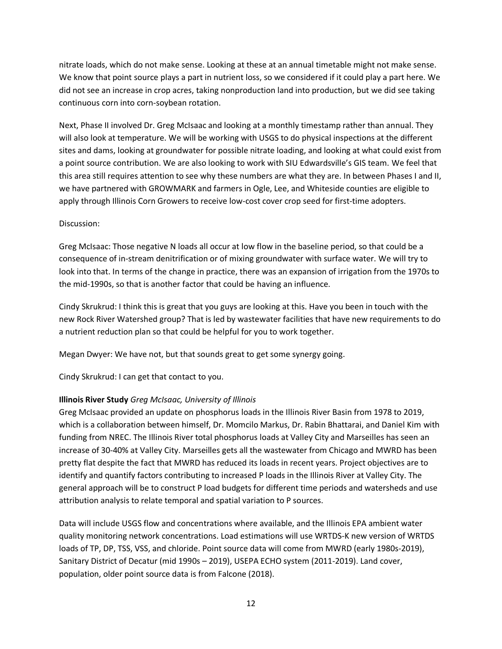nitrate loads, which do not make sense. Looking at these at an annual timetable might not make sense. We know that point source plays a part in nutrient loss, so we considered if it could play a part here. We did not see an increase in crop acres, taking nonproduction land into production, but we did see taking continuous corn into corn-soybean rotation.

Next, Phase II involved Dr. Greg McIsaac and looking at a monthly timestamp rather than annual. They will also look at temperature. We will be working with USGS to do physical inspections at the different sites and dams, looking at groundwater for possible nitrate loading, and looking at what could exist from a point source contribution. We are also looking to work with SIU Edwardsville's GIS team. We feel that this area still requires attention to see why these numbers are what they are. In between Phases I and II, we have partnered with GROWMARK and farmers in Ogle, Lee, and Whiteside counties are eligible to apply through Illinois Corn Growers to receive low-cost cover crop seed for first-time adopters.

#### Discussion:

Greg McIsaac: Those negative N loads all occur at low flow in the baseline period, so that could be a consequence of in-stream denitrification or of mixing groundwater with surface water. We will try to look into that. In terms of the change in practice, there was an expansion of irrigation from the 1970s to the mid-1990s, so that is another factor that could be having an influence.

Cindy Skrukrud: I think this is great that you guys are looking at this. Have you been in touch with the new Rock River Watershed group? That is led by wastewater facilities that have new requirements to do a nutrient reduction plan so that could be helpful for you to work together.

Megan Dwyer: We have not, but that sounds great to get some synergy going.

Cindy Skrukrud: I can get that contact to you.

## **Illinois River Study** *Greg McIsaac, University of Illinois*

Greg McIsaac provided an update on phosphorus loads in the Illinois River Basin from 1978 to 2019, which is a collaboration between himself, Dr. Momcilo Markus, Dr. Rabin Bhattarai, and Daniel Kim with funding from NREC. The Illinois River total phosphorus loads at Valley City and Marseilles has seen an increase of 30-40% at Valley City. Marseilles gets all the wastewater from Chicago and MWRD has been pretty flat despite the fact that MWRD has reduced its loads in recent years. Project objectives are to identify and quantify factors contributing to increased P loads in the Illinois River at Valley City. The general approach will be to construct P load budgets for different time periods and watersheds and use attribution analysis to relate temporal and spatial variation to P sources.

Data will include USGS flow and concentrations where available, and the Illinois EPA ambient water quality monitoring network concentrations. Load estimations will use WRTDS-K new version of WRTDS loads of TP, DP, TSS, VSS, and chloride. Point source data will come from MWRD (early 1980s-2019), Sanitary District of Decatur (mid 1990s – 2019), USEPA ECHO system (2011-2019). Land cover, population, older point source data is from Falcone (2018).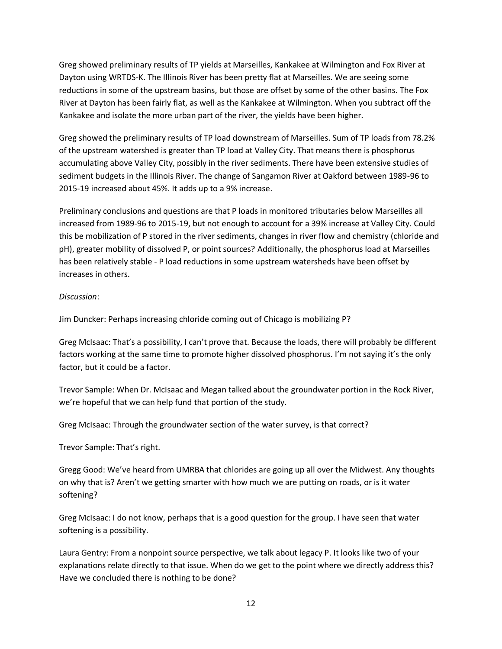Greg showed preliminary results of TP yields at Marseilles, Kankakee at Wilmington and Fox River at Dayton using WRTDS-K. The Illinois River has been pretty flat at Marseilles. We are seeing some reductions in some of the upstream basins, but those are offset by some of the other basins. The Fox River at Dayton has been fairly flat, as well as the Kankakee at Wilmington. When you subtract off the Kankakee and isolate the more urban part of the river, the yields have been higher.

Greg showed the preliminary results of TP load downstream of Marseilles. Sum of TP loads from 78.2% of the upstream watershed is greater than TP load at Valley City. That means there is phosphorus accumulating above Valley City, possibly in the river sediments. There have been extensive studies of sediment budgets in the Illinois River. The change of Sangamon River at Oakford between 1989-96 to 2015-19 increased about 45%. It adds up to a 9% increase.

Preliminary conclusions and questions are that P loads in monitored tributaries below Marseilles all increased from 1989-96 to 2015-19, but not enough to account for a 39% increase at Valley City. Could this be mobilization of P stored in the river sediments, changes in river flow and chemistry (chloride and pH), greater mobility of dissolved P, or point sources? Additionally, the phosphorus load at Marseilles has been relatively stable - P load reductions in some upstream watersheds have been offset by increases in others.

## *Discussion*:

Jim Duncker: Perhaps increasing chloride coming out of Chicago is mobilizing P?

Greg McIsaac: That's a possibility, I can't prove that. Because the loads, there will probably be different factors working at the same time to promote higher dissolved phosphorus. I'm not saying it's the only factor, but it could be a factor.

Trevor Sample: When Dr. McIsaac and Megan talked about the groundwater portion in the Rock River, we're hopeful that we can help fund that portion of the study.

Greg McIsaac: Through the groundwater section of the water survey, is that correct?

Trevor Sample: That's right.

Gregg Good: We've heard from UMRBA that chlorides are going up all over the Midwest. Any thoughts on why that is? Aren't we getting smarter with how much we are putting on roads, or is it water softening?

Greg McIsaac: I do not know, perhaps that is a good question for the group. I have seen that water softening is a possibility.

Laura Gentry: From a nonpoint source perspective, we talk about legacy P. It looks like two of your explanations relate directly to that issue. When do we get to the point where we directly address this? Have we concluded there is nothing to be done?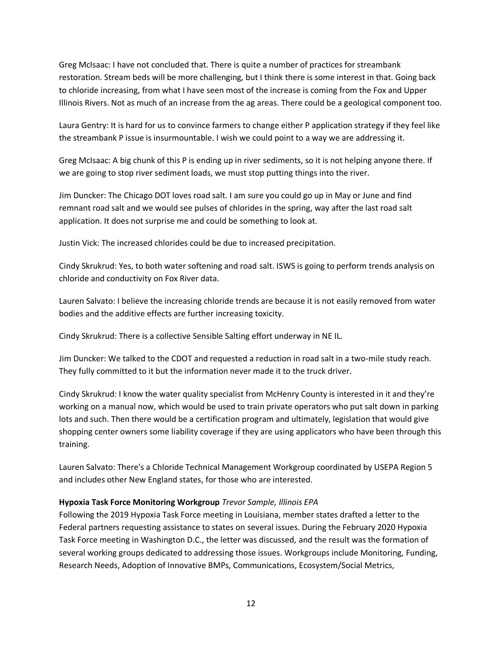Greg McIsaac: I have not concluded that. There is quite a number of practices for streambank restoration. Stream beds will be more challenging, but I think there is some interest in that. Going back to chloride increasing, from what I have seen most of the increase is coming from the Fox and Upper Illinois Rivers. Not as much of an increase from the ag areas. There could be a geological component too.

Laura Gentry: It is hard for us to convince farmers to change either P application strategy if they feel like the streambank P issue is insurmountable. I wish we could point to a way we are addressing it.

Greg McIsaac: A big chunk of this P is ending up in river sediments, so it is not helping anyone there. If we are going to stop river sediment loads, we must stop putting things into the river.

Jim Duncker: The Chicago DOT loves road salt. I am sure you could go up in May or June and find remnant road salt and we would see pulses of chlorides in the spring, way after the last road salt application. It does not surprise me and could be something to look at.

Justin Vick: The increased chlorides could be due to increased precipitation.

Cindy Skrukrud: Yes, to both water softening and road salt. ISWS is going to perform trends analysis on chloride and conductivity on Fox River data.

Lauren Salvato: I believe the increasing chloride trends are because it is not easily removed from water bodies and the additive effects are further increasing toxicity.

Cindy Skrukrud: There is a collective Sensible Salting effort underway in NE IL.

Jim Duncker: We talked to the CDOT and requested a reduction in road salt in a two-mile study reach. They fully committed to it but the information never made it to the truck driver.

Cindy Skrukrud: I know the water quality specialist from McHenry County is interested in it and they're working on a manual now, which would be used to train private operators who put salt down in parking lots and such. Then there would be a certification program and ultimately, legislation that would give shopping center owners some liability coverage if they are using applicators who have been through this training.

Lauren Salvato: There's a Chloride Technical Management Workgroup coordinated by USEPA Region 5 and includes other New England states, for those who are interested.

## **Hypoxia Task Force Monitoring Workgroup** *Trevor Sample, Illinois EPA*

Following the 2019 Hypoxia Task Force meeting in Louisiana, member states drafted a letter to the Federal partners requesting assistance to states on several issues. During the February 2020 Hypoxia Task Force meeting in Washington D.C., the letter was discussed, and the result was the formation of several working groups dedicated to addressing those issues. Workgroups include Monitoring, Funding, Research Needs, Adoption of Innovative BMPs, Communications, Ecosystem/Social Metrics,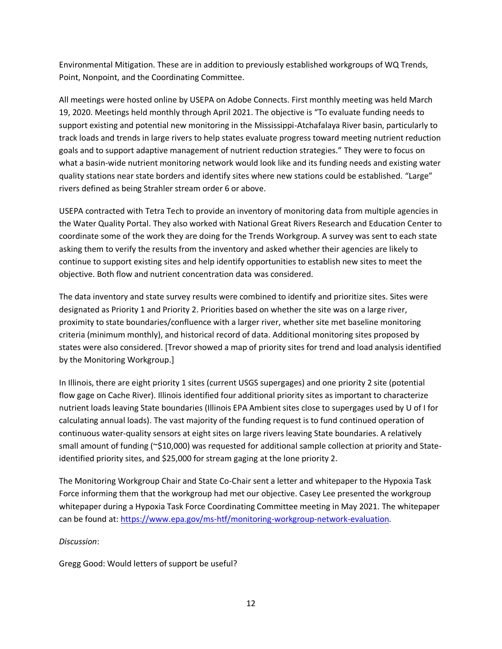Environmental Mitigation. These are in addition to previously established workgroups of WQ Trends, Point, Nonpoint, and the Coordinating Committee.

All meetings were hosted online by USEPA on Adobe Connects. First monthly meeting was held March 19, 2020. Meetings held monthly through April 2021. The objective is "To evaluate funding needs to support existing and potential new monitoring in the Mississippi-Atchafalaya River basin, particularly to track loads and trends in large rivers to help states evaluate progress toward meeting nutrient reduction goals and to support adaptive management of nutrient reduction strategies." They were to focus on what a basin-wide nutrient monitoring network would look like and its funding needs and existing water quality stations near state borders and identify sites where new stations could be established. "Large" rivers defined as being Strahler stream order 6 or above.

USEPA contracted with Tetra Tech to provide an inventory of monitoring data from multiple agencies in the Water Quality Portal. They also worked with National Great Rivers Research and Education Center to coordinate some of the work they are doing for the Trends Workgroup. A survey was sent to each state asking them to verify the results from the inventory and asked whether their agencies are likely to continue to support existing sites and help identify opportunities to establish new sites to meet the objective. Both flow and nutrient concentration data was considered.

The data inventory and state survey results were combined to identify and prioritize sites. Sites were designated as Priority 1 and Priority 2. Priorities based on whether the site was on a large river, proximity to state boundaries/confluence with a larger river, whether site met baseline monitoring criteria (minimum monthly), and historical record of data. Additional monitoring sites proposed by states were also considered. [Trevor showed a map of priority sites for trend and load analysis identified by the Monitoring Workgroup.]

In Illinois, there are eight priority 1 sites (current USGS supergages) and one priority 2 site (potential flow gage on Cache River). Illinois identified four additional priority sites as important to characterize nutrient loads leaving State boundaries (Illinois EPA Ambient sites close to supergages used by U of I for calculating annual loads). The vast majority of the funding request is to fund continued operation of continuous water-quality sensors at eight sites on large rivers leaving State boundaries. A relatively small amount of funding (~\$10,000) was requested for additional sample collection at priority and Stateidentified priority sites, and \$25,000 for stream gaging at the lone priority 2.

The Monitoring Workgroup Chair and State Co-Chair sent a letter and whitepaper to the Hypoxia Task Force informing them that the workgroup had met our objective. Casey Lee presented the workgroup whitepaper during a Hypoxia Task Force Coordinating Committee meeting in May 2021. The whitepaper can be found at: [https://www.epa.gov/ms-htf/monitoring-workgroup-network-evaluation.](about:blank)

# *Discussion*:

Gregg Good: Would letters of support be useful?